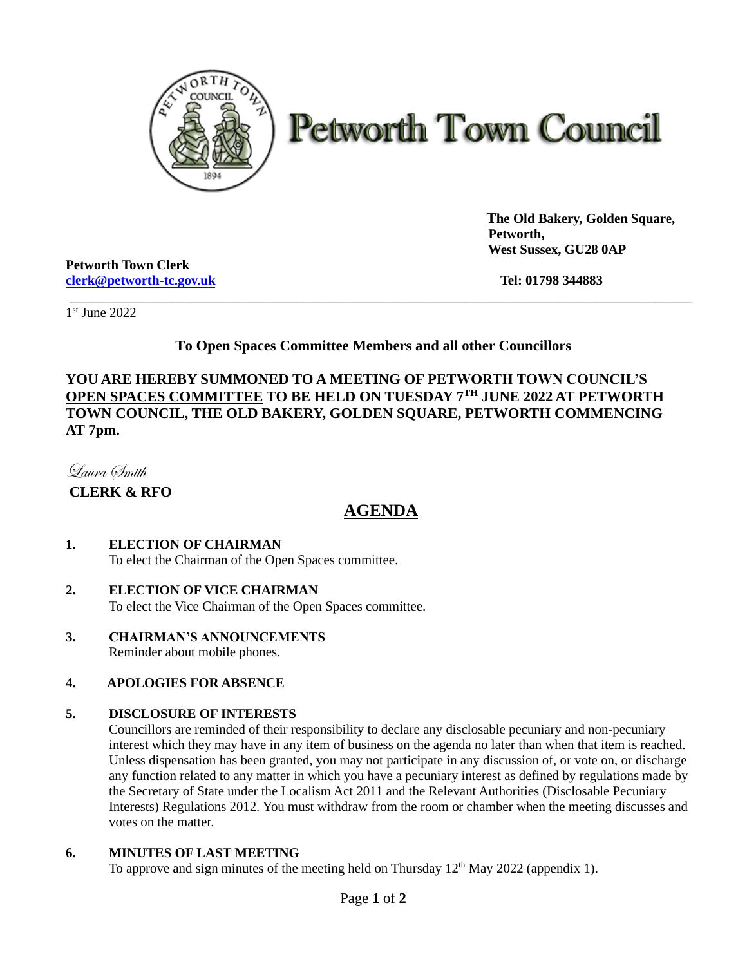

# **Petworth Town Council**

 **The Old Bakery, Golden Square, Petworth, West Sussex, GU28 0AP**

\_\_\_\_\_\_\_\_\_\_\_\_\_\_\_\_\_\_\_\_\_\_\_\_\_\_\_\_\_\_\_\_\_\_\_\_\_\_\_\_\_\_\_\_\_\_\_\_\_\_\_\_\_\_\_\_\_\_\_\_\_\_\_\_\_\_\_\_\_\_\_\_\_\_\_\_\_\_\_\_\_\_\_\_\_ \_\_\_\_\_\_\_\_\_\_\_\_\_\_\_\_\_\_\_\_\_\_\_\_\_\_\_\_\_\_\_\_\_\_\_\_\_\_\_\_\_\_\_\_\_\_\_\_\_\_\_\_\_\_\_\_\_\_\_\_\_\_\_\_\_\_\_\_\_\_\_\_\_\_\_\_\_\_\_\_\_\_\_\_

**Petworth Town Clerk [clerk@petworth-tc.gov.uk](mailto:clerk@petworth-tc.gov.uk) Tel: 01798 344883**

1 st June 2022

## **To Open Spaces Committee Members and all other Councillors**

**YOU ARE HEREBY SUMMONED TO A MEETING OF PETWORTH TOWN COUNCIL'S OPEN SPACES COMMITTEE TO BE HELD ON TUESDAY 7 TH JUNE 2022 AT PETWORTH TOWN COUNCIL, THE OLD BAKERY, GOLDEN SQUARE, PETWORTH COMMENCING AT 7pm.** 

Laura Smith

**CLERK & RFO**

# **AGENDA**

#### **1. ELECTION OF CHAIRMAN**

To elect the Chairman of the Open Spaces committee.

## **2. ELECTION OF VICE CHAIRMAN**

To elect the Vice Chairman of the Open Spaces committee.

**3. CHAIRMAN'S ANNOUNCEMENTS** Reminder about mobile phones.

#### **4. APOLOGIES FOR ABSENCE**

#### **5. DISCLOSURE OF INTERESTS**

Councillors are reminded of their responsibility to declare any disclosable pecuniary and non-pecuniary interest which they may have in any item of business on the agenda no later than when that item is reached. Unless dispensation has been granted, you may not participate in any discussion of, or vote on, or discharge any function related to any matter in which you have a pecuniary interest as defined by regulations made by the Secretary of State under the Localism Act 2011 and the Relevant Authorities (Disclosable Pecuniary Interests) Regulations 2012. You must withdraw from the room or chamber when the meeting discusses and votes on the matter.

#### **6. MINUTES OF LAST MEETING**

To approve and sign minutes of the meeting held on Thursday  $12<sup>th</sup>$  May 2022 (appendix 1).